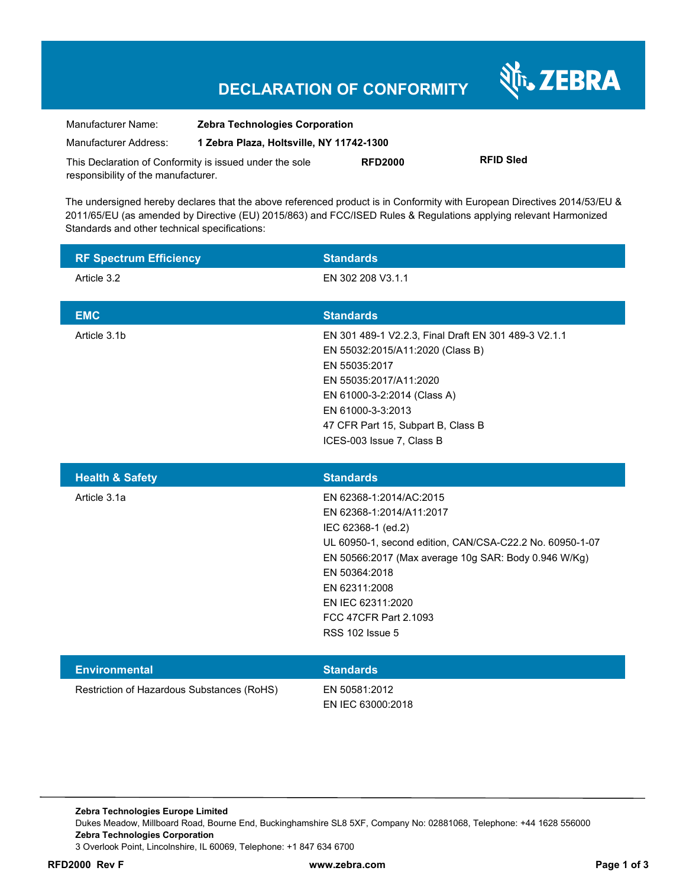# **DECLARATION OF CONFORMITY**

श्री<sub>1</sub>, ZEBRA

| Manufacturer Name:                                      | <b>Zebra Technologies Corporation</b>    |                |                  |
|---------------------------------------------------------|------------------------------------------|----------------|------------------|
| Manufacturer Address:                                   | 1 Zebra Plaza, Holtsville, NY 11742-1300 |                |                  |
| This Declaration of Conformity is issued under the sole |                                          | <b>RFD2000</b> | <b>RFID Sled</b> |
| responsibility of the manufacturer.                     |                                          |                |                  |

The undersigned hereby declares that the above referenced product is in Conformity with European Directives 2014/53/EU & 2011/65/EU (as amended by Directive (EU) 2015/863) and FCC/ISED Rules & Regulations applying relevant Harmonized Standards and other technical specifications:

| <b>RF Spectrum Efficiency</b> | <b>Standards</b>                                                                                                                                                                                                                                                                                        |
|-------------------------------|---------------------------------------------------------------------------------------------------------------------------------------------------------------------------------------------------------------------------------------------------------------------------------------------------------|
| Article 3.2                   | EN 302 208 V3.1.1                                                                                                                                                                                                                                                                                       |
| <b>EMC</b>                    | <b>Standards</b>                                                                                                                                                                                                                                                                                        |
| Article 3.1b                  | EN 301 489-1 V2.2.3, Final Draft EN 301 489-3 V2.1.1<br>EN 55032:2015/A11:2020 (Class B)<br>EN 55035:2017<br>EN 55035:2017/A11:2020<br>EN 61000-3-2:2014 (Class A)<br>EN 61000-3-3:2013<br>47 CFR Part 15, Subpart B, Class B<br>ICES-003 Issue 7, Class B                                              |
| <b>Health &amp; Safety</b>    | <b>Standards</b>                                                                                                                                                                                                                                                                                        |
| Article 3.1a                  | EN 62368-1:2014/AC:2015<br>EN 62368-1:2014/A11:2017<br>IEC 62368-1 (ed.2)<br>UL 60950-1, second edition, CAN/CSA-C22.2 No. 60950-1-07<br>EN 50566:2017 (Max average 10g SAR: Body 0.946 W/Kg)<br>EN 50364:2018<br>EN 62311:2008<br>EN IEC 62311:2020<br>FCC 47CFR Part 2.1093<br><b>RSS 102 Issue 5</b> |
|                               |                                                                                                                                                                                                                                                                                                         |
| <b>Environmental</b>          | <b>Standards</b>                                                                                                                                                                                                                                                                                        |

**Zebra Technologies Europe Limited**  Dukes Meadow, Millboard Road, Bourne End, Buckinghamshire SL8 5XF, Company No: 02881068, Telephone: +44 1628 556000 **Zebra Technologies Corporation**  3 Overlook Point, Lincolnshire, IL 60069, Telephone: +1 847 634 6700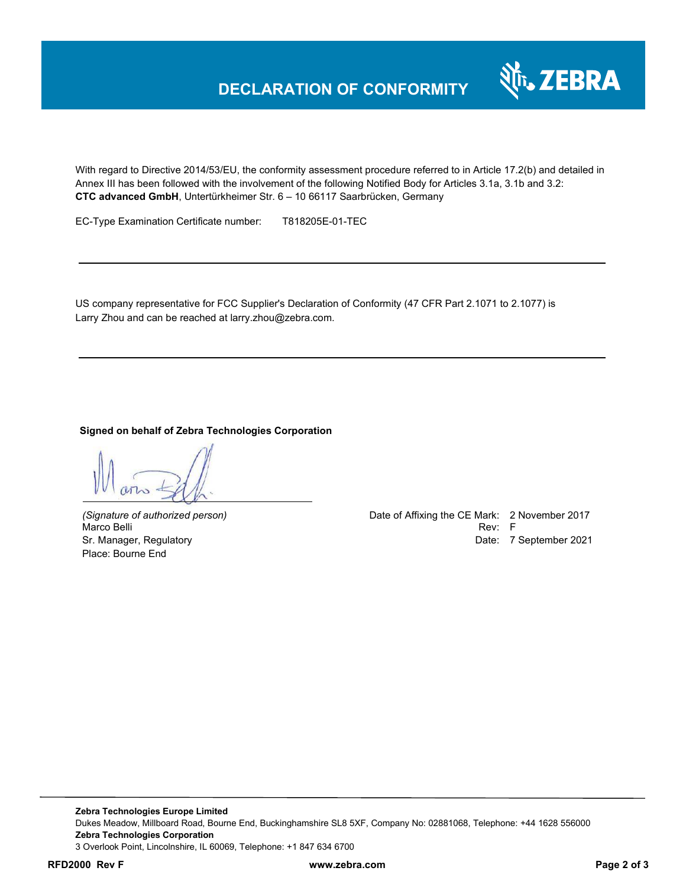

With regard to Directive 2014/53/EU, the conformity assessment procedure referred to in Article 17.2(b) and detailed in Annex III has been followed with the involvement of the following Notified Body for Articles 3.1a, 3.1b and 3.2: **CTC advanced GmbH**, Untertürkheimer Str. 6 – 10 66117 Saarbrücken, Germany

EC-Type Examination Certificate number: T818205E-01-TEC

US company representative for FCC Supplier's Declaration of Conformity (47 CFR Part 2.1071 to 2.1077) is Larry Zhou and can be reached at larry.zhou@zebra.com.

#### **Signed on behalf of Zebra Technologies Corporation**

Place: Bourne End

*(Signature of authorized person)* Date of Affixing the CE Mark: 2 November 2017 Marco Belli Rev: Fig. 2014. The contract of the contract of the contract of the contract of the contract of the contract of the contract of the contract of the contract of the contract of the contract of the contract of th Sr. Manager, Regulatory **Date: 7 September 2021** 

**Zebra Technologies Europe Limited**  Dukes Meadow, Millboard Road, Bourne End, Buckinghamshire SL8 5XF, Company No: 02881068, Telephone: +44 1628 556000 **Zebra Technologies Corporation**  3 Overlook Point, Lincolnshire, IL 60069, Telephone: +1 847 634 6700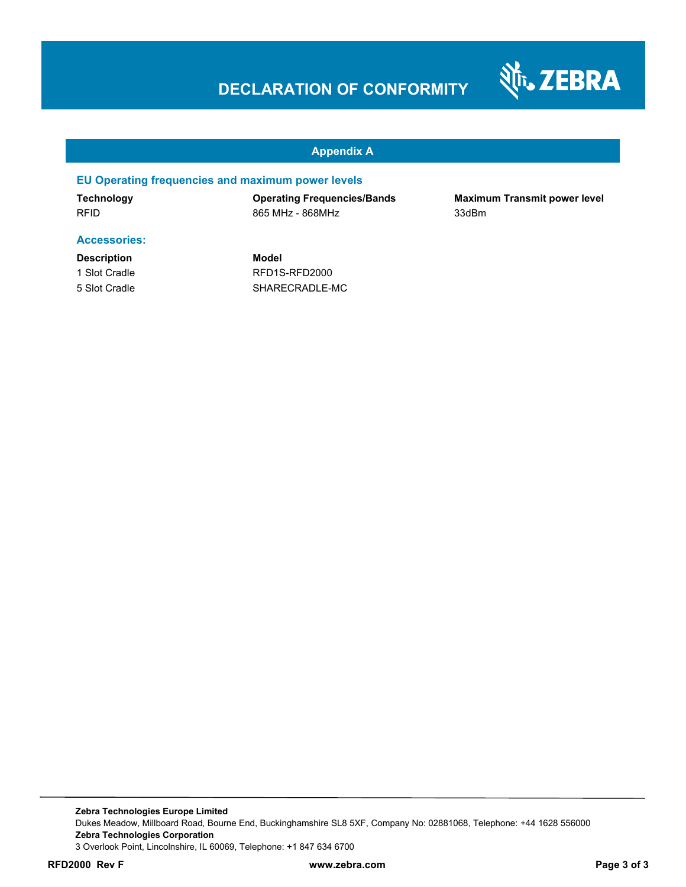### **DECLARATION OF CONFORMITY**



#### **Appendix A**

#### **EU Operating frequencies and maximum power levels**

**Technology Operating Frequencies/Bands Maximum Transmit power level**  RFID 865 MHz - 868MHz 33dBm

#### **Accessories:**

**Description Model**

1 Slot Cradle RFD1S-RFD2000 5 Slot Cradle SHARECRADLE-MC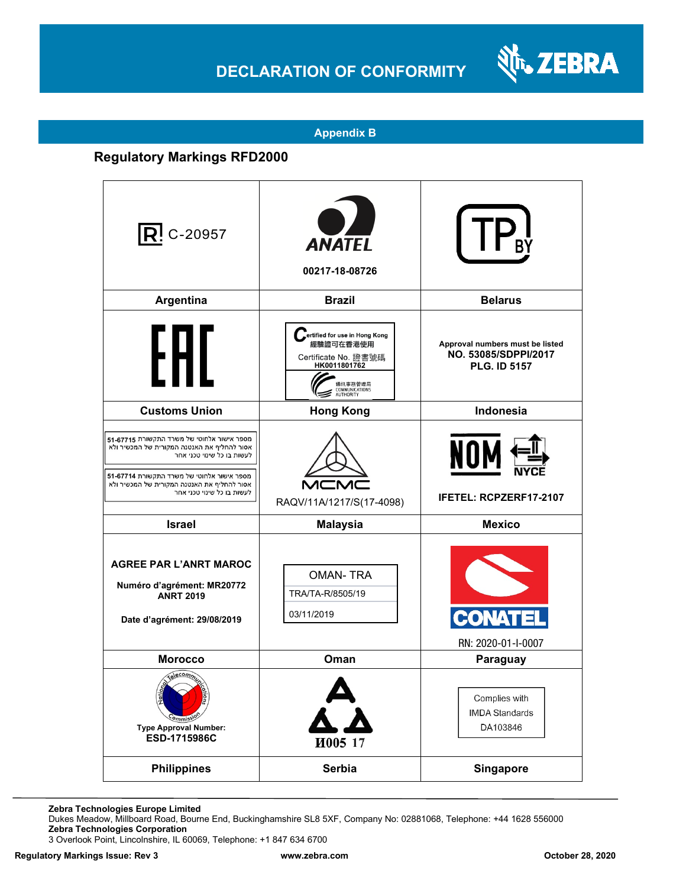# **DECLARATION OF CONFORMITY**



#### **Appendix B**

### **Regulatory Markings RFD2000**

| $\mathsf{R}$ ! C-20957                                                                                                                                                                                                                             | <b>ANATEL</b><br>00217-18-08726                                                                                              |                                                                                |
|----------------------------------------------------------------------------------------------------------------------------------------------------------------------------------------------------------------------------------------------------|------------------------------------------------------------------------------------------------------------------------------|--------------------------------------------------------------------------------|
| Argentina                                                                                                                                                                                                                                          | <b>Brazil</b>                                                                                                                | <b>Belarus</b>                                                                 |
| t HI                                                                                                                                                                                                                                               | ertified for use in Hong Kong<br>經驗證可在香港使用<br>Certificate No. 證書號碼<br>HK0011801762<br>動訊事務管理局<br>COMMUNICATIONS<br>AUTHORITY | Approval numbers must be listed<br>NO. 53085/SDPPI/2017<br><b>PLG. ID 5157</b> |
| <b>Customs Union</b>                                                                                                                                                                                                                               | <b>Hong Kong</b>                                                                                                             | <b>Indonesia</b>                                                               |
| מספר אישור אלחוטי של משרד התקשורת 67715-51<br>אסור להחליף את האנטנה המקורית של המכשיר ולא<br>לעשות בו כל שינוי טכני אחר<br>מספר אישור אלחוטי של משרד התקשורת 67714-51<br>אסור להחליף את האנטנה המקורית של המכשיר ולא<br>לעשות בו כל שינוי טכני אחר | RAQV/11A/1217/S(17-4098)                                                                                                     | NOI<br>IFETEL: RCPZERF17-2107                                                  |
| <b>Israel</b>                                                                                                                                                                                                                                      | <b>Malaysia</b>                                                                                                              | <b>Mexico</b>                                                                  |
| <b>AGREE PAR L'ANRT MAROC</b><br>Numéro d'agrément: MR20772<br><b>ANRT 2019</b><br>Date d'agrément: 29/08/2019                                                                                                                                     | <b>OMAN-TRA</b><br>TRA/TA-R/8505/19<br>03/11/2019                                                                            |                                                                                |
| <b>Morocco</b>                                                                                                                                                                                                                                     | Oman                                                                                                                         | RN: 2020-01-I-0007<br>Paraguay                                                 |
| Telecommun<br><i><b>Pmmis</b></i><br><b>Type Approval Number:</b><br>ESD-1715986C                                                                                                                                                                  | $\sum_{i=1}^{n}$<br>И005 17                                                                                                  | Complies with<br><b>IMDA Standards</b><br>DA103846                             |
| <b>Philippines</b>                                                                                                                                                                                                                                 | Serbia                                                                                                                       | <b>Singapore</b>                                                               |

**Zebra Technologies Europe Limited**

Dukes Meadow, Millboard Road, Bourne End, Buckinghamshire SL8 5XF, Company No: 02881068, Telephone: +44 1628 556000 **Zebra Technologies Corporation** 

3 Overlook Point, Lincolnshire, IL 60069, Telephone: +1 847 634 6700